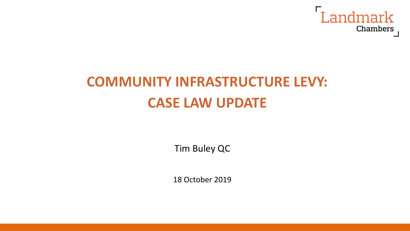

# **COMMUNITY INFRASTRUCTURE LEVY: CASE LAW UPDATE**

Tim Buley QC

18 October 2019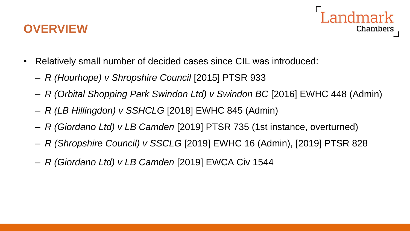#### **OVERVIEW**



- Relatively small number of decided cases since CIL was introduced:
	- *R (Hourhope) v Shropshire Council* [2015] PTSR 933
	- *R (Orbital Shopping Park Swindon Ltd) v Swindon BC* [2016] EWHC 448 (Admin)
	- *R (LB Hillingdon) v SSHCLG* [2018] EWHC 845 (Admin)
	- *R (Giordano Ltd) v LB Camden* [2019] PTSR 735 (1st instance, overturned)
	- *R (Shropshire Council) v SSCLG* [2019] EWHC 16 (Admin), [2019] PTSR 828
	- *R (Giordano Ltd) v LB Camden* [2019] EWCA Civ 1544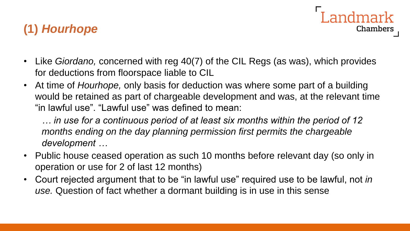#### **(1)** *Hourhope*

• Like *Giordano,* concerned with reg 40(7) of the CIL Regs (as was), which provides for deductions from floorspace liable to CIL

Landmark

**Chambers** 

• At time of *Hourhope,* only basis for deduction was where some part of a building would be retained as part of chargeable development and was, at the relevant time "in lawful use". "Lawful use" was defined to mean:

*… in use for a continuous period of at least six months within the period of 12 months ending on the day planning permission first permits the chargeable development …* 

- Public house ceased operation as such 10 months before relevant day (so only in operation or use for 2 of last 12 months)
- Court rejected argument that to be "in lawful use" required use to be lawful, not *in use.* Question of fact whether a dormant building is in use in this sense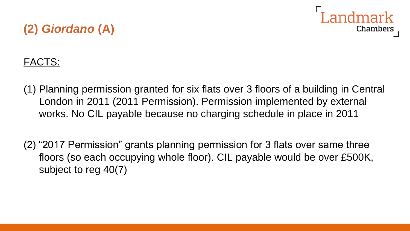

# **(2)** *Giordano* **(A)**

#### FACTS:

- (1) Planning permission granted for six flats over 3 floors of a building in Central London in 2011 (2011 Permission). Permission implemented by external works. No CIL payable because no charging schedule in place in 2011
- (2) "2017 Permission" grants planning permission for 3 flats over same three floors (so each occupying whole floor). CIL payable would be over £500K, subject to reg 40(7)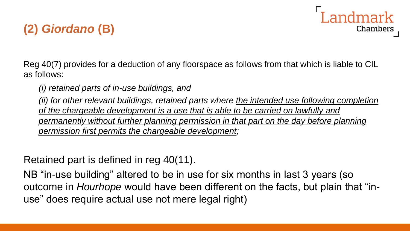## **(2)** *Giordano* **(B)**

Reg 40(7) provides for a deduction of any floorspace as follows from that which is liable to CIL as follows:

Landmark

Chambers

*(i) retained parts of in-use buildings, and* 

*(ii) for other relevant buildings, retained parts where the intended use following completion of the chargeable development is a use that is able to be carried on lawfully and permanently without further planning permission in that part on the day before planning permission first permits the chargeable development;*

Retained part is defined in reg 40(11).

NB "in-use building" altered to be in use for six months in last 3 years (so outcome in *Hourhope* would have been different on the facts, but plain that "inuse" does require actual use not mere legal right)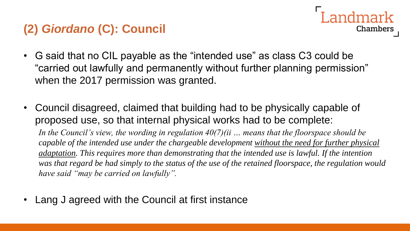#### **(2)** *Giordano* **(C): Council**

- I andmark **Chambers**
- G said that no CIL payable as the "intended use" as class C3 could be "carried out lawfully and permanently without further planning permission" when the 2017 permission was granted.
- Council disagreed, claimed that building had to be physically capable of proposed use, so that internal physical works had to be complete:

*In the Council's view, the wording in regulation 40(7)(ii … means that the floorspace should be capable of the intended use under the chargeable development without the need for further physical adaptation. This requires more than demonstrating that the intended use is lawful. If the intention was that regard be had simply to the status of the use of the retained floorspace, the regulation would have said "may be carried on lawfully".* 

• Lang J agreed with the Council at first instance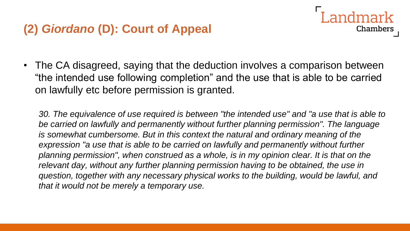#### **(2)** *Giordano* **(D): Court of Appeal**



Landmark

**Chambers** 

*30. The equivalence of use required is between "the intended use" and "a use that is able to be carried on lawfully and permanently without further planning permission". The language is somewhat cumbersome. But in this context the natural and ordinary meaning of the expression "a use that is able to be carried on lawfully and permanently without further planning permission", when construed as a whole, is in my opinion clear. It is that on the relevant day, without any further planning permission having to be obtained, the use in question, together with any necessary physical works to the building, would be lawful, and that it would not be merely a temporary use.*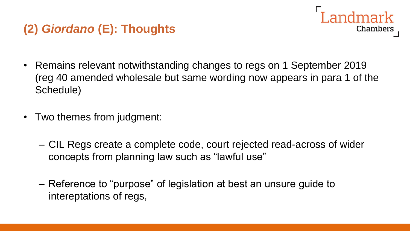#### **(2)** *Giordano* **(E): Thoughts**

• Remains relevant notwithstanding changes to regs on 1 September 2019 (reg 40 amended wholesale but same wording now appears in para 1 of the Schedule)

Landmark

Chambers

- Two themes from judgment:
	- CIL Regs create a complete code, court rejected read-across of wider concepts from planning law such as "lawful use"
	- Reference to "purpose" of legislation at best an unsure guide to intereptations of regs,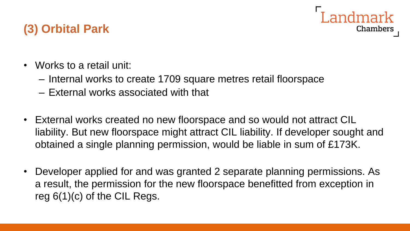

- Works to a retail unit:
	- Internal works to create 1709 square metres retail floorspace
	- External works associated with that
- External works created no new floorspace and so would not attract CIL liability. But new floorspace might attract CIL liability. If developer sought and obtained a single planning permission, would be liable in sum of £173K.

Chambers

• Developer applied for and was granted 2 separate planning permissions. As a result, the permission for the new floorspace benefitted from exception in reg 6(1)(c) of the CIL Regs.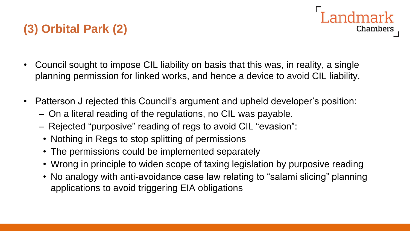# **(3) Orbital Park (2)**

• Council sought to impose CIL liability on basis that this was, in reality, a single planning permission for linked works, and hence a device to avoid CIL liability.

Landmark

Chambers

- Patterson J rejected this Council's argument and upheld developer's position:
	- On a literal reading of the regulations, no CIL was payable.
	- Rejected "purposive" reading of regs to avoid CIL "evasion":
	- Nothing in Regs to stop splitting of permissions
	- The permissions could be implemented separately
	- Wrong in principle to widen scope of taxing legislation by purposive reading
	- No analogy with anti-avoidance case law relating to "salami slicing" planning applications to avoid triggering EIA obligations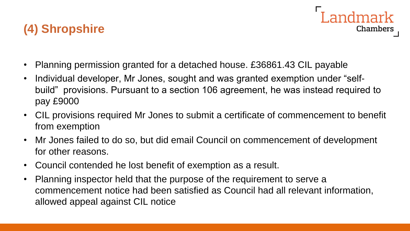#### **(4) Shropshire**

- Planning permission granted for a detached house. £36861.43 CIL payable
- Individual developer, Mr Jones, sought and was granted exemption under "selfbuild" provisions. Pursuant to a section 106 agreement, he was instead required to pay £9000

Landmark

Chambers

- CIL provisions required Mr Jones to submit a certificate of commencement to benefit from exemption
- Mr Jones failed to do so, but did email Council on commencement of development for other reasons.
- Council contended he lost benefit of exemption as a result.
- Planning inspector held that the purpose of the requirement to serve a commencement notice had been satisfied as Council had all relevant information, allowed appeal against CIL notice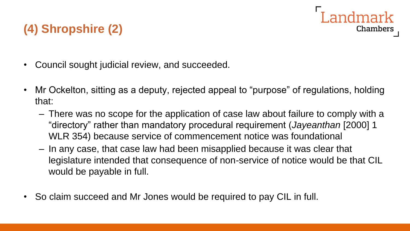## Landmark Chambers

# **(4) Shropshire (2)**

- Council sought judicial review, and succeeded.
- Mr Ockelton, sitting as a deputy, rejected appeal to "purpose" of regulations, holding that:
	- There was no scope for the application of case law about failure to comply with a "directory" rather than mandatory procedural requirement (*Jayeanthan* [2000] 1 WLR 354) because service of commencement notice was foundational
	- In any case, that case law had been misapplied because it was clear that legislature intended that consequence of non-service of notice would be that CIL would be payable in full.
- So claim succeed and Mr Jones would be required to pay CIL in full.